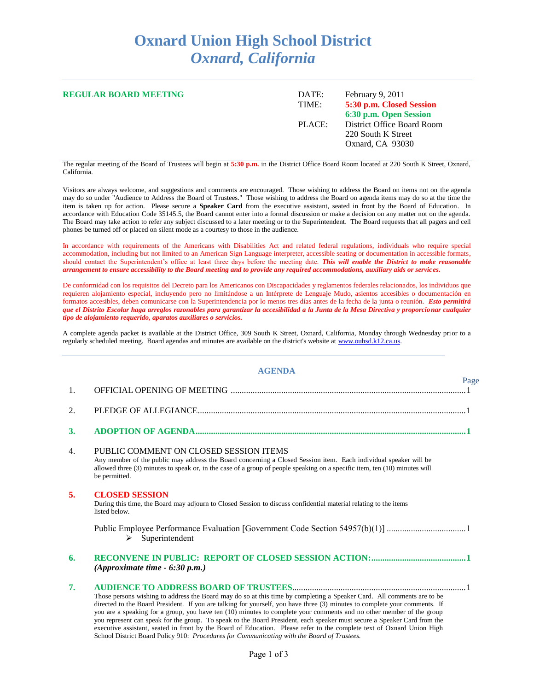## **Oxnard Union High School District** *Oxnard, California*

| <b>REGULAR BOARD MEETING</b> | February 9, 2011<br>DATE:<br>5:30 p.m. Closed Session<br>TIME:<br>6:30 p.m. Open Session |                                                                      |
|------------------------------|------------------------------------------------------------------------------------------|----------------------------------------------------------------------|
|                              | PLACE:                                                                                   | District Office Board Room<br>220 South K Street<br>Oxnard, CA 93030 |

The regular meeting of the Board of Trustees will begin at **5:30 p.m.** in the District Office Board Room located at 220 South K Street, Oxnard, California.

Visitors are always welcome, and suggestions and comments are encouraged. Those wishing to address the Board on items not on the agenda may do so under "Audience to Address the Board of Trustees." Those wishing to address the Board on agenda items may do so at the time the item is taken up for action. Please secure a **Speaker Card** from the executive assistant, seated in front by the Board of Education. In accordance with Education Code 35145.5, the Board cannot enter into a formal discussion or make a decision on any matter not on the agenda. The Board may take action to refer any subject discussed to a later meeting or to the Superintendent. The Board requests that all pagers and cell phones be turned off or placed on silent mode as a courtesy to those in the audience.

In accordance with requirements of the Americans with Disabilities Act and related federal regulations, individuals who require special accommodation, including but not limited to an American Sign Language interpreter, accessible seating or documentation in accessible formats, should contact the Superintendent's office at least three days before the meeting date. *This will enable the District to make reasonable arrangement to ensure accessibility to the Board meeting and to provide any required accommodations, auxiliary aids or services.*

De conformidad con los requisitos del Decreto para los Americanos con Discapacidades y reglamentos federales relacionados, los individuos que requieren alojamiento especial, incluyendo pero no limitándose a un Intérprete de Lenguaje Mudo, asientos accesibles o documentación en formatos accesibles, deben comunicarse con la Superintendencia por lo menos tres días antes de la fecha de la junta o reunión. *Esto permitirá que el Distrito Escolar haga arreglos razonables para garantizar la accesibilidad a la Junta de la Mesa Directiva y proporcionar cualquier tipo de alojamiento requerido, aparatos auxiliares o servicios.*

A complete agenda packet is available at the District Office, 309 South K Street, Oxnard, California, Monday through Wednesday prior to a regularly scheduled meeting. Board agendas and minutes are available on the district's website at [www.ouhsd.k12.ca.us.](http://www.ouhsd.k12.ca.us/)

**AGENDA**

|    | AGENDA                                                                                                                                                                                                                                                                                                                                                                                                                                                                                                                                                                                                                                                                                                                           |      |
|----|----------------------------------------------------------------------------------------------------------------------------------------------------------------------------------------------------------------------------------------------------------------------------------------------------------------------------------------------------------------------------------------------------------------------------------------------------------------------------------------------------------------------------------------------------------------------------------------------------------------------------------------------------------------------------------------------------------------------------------|------|
| 1. |                                                                                                                                                                                                                                                                                                                                                                                                                                                                                                                                                                                                                                                                                                                                  | Page |
| 2. |                                                                                                                                                                                                                                                                                                                                                                                                                                                                                                                                                                                                                                                                                                                                  |      |
| 3. |                                                                                                                                                                                                                                                                                                                                                                                                                                                                                                                                                                                                                                                                                                                                  |      |
| 4. | PUBLIC COMMENT ON CLOSED SESSION ITEMS<br>Any member of the public may address the Board concerning a Closed Session item. Each individual speaker will be<br>allowed three (3) minutes to speak or, in the case of a group of people speaking on a specific item, ten (10) minutes will<br>be permitted.                                                                                                                                                                                                                                                                                                                                                                                                                        |      |
| 5. | <b>CLOSED SESSION</b><br>During this time, the Board may adjourn to Closed Session to discuss confidential material relating to the items<br>listed below.                                                                                                                                                                                                                                                                                                                                                                                                                                                                                                                                                                       |      |
|    | Public Employee Performance Evaluation [Government Code Section 54957(b)(1)] 1<br>Superintendent<br>$\triangleright$                                                                                                                                                                                                                                                                                                                                                                                                                                                                                                                                                                                                             |      |
| 6. | (Approximate time $-6:30$ p.m.)                                                                                                                                                                                                                                                                                                                                                                                                                                                                                                                                                                                                                                                                                                  |      |
| 7. | Those persons wishing to address the Board may do so at this time by completing a Speaker Card. All comments are to be<br>directed to the Board President. If you are talking for yourself, you have three (3) minutes to complete your comments. If<br>you are a speaking for a group, you have ten (10) minutes to complete your comments and no other member of the group<br>you represent can speak for the group. To speak to the Board President, each speaker must secure a Speaker Card from the<br>executive assistant, seated in front by the Board of Education. Please refer to the complete text of Oxnard Union High<br>School District Board Policy 910: Procedures for Communicating with the Board of Trustees. |      |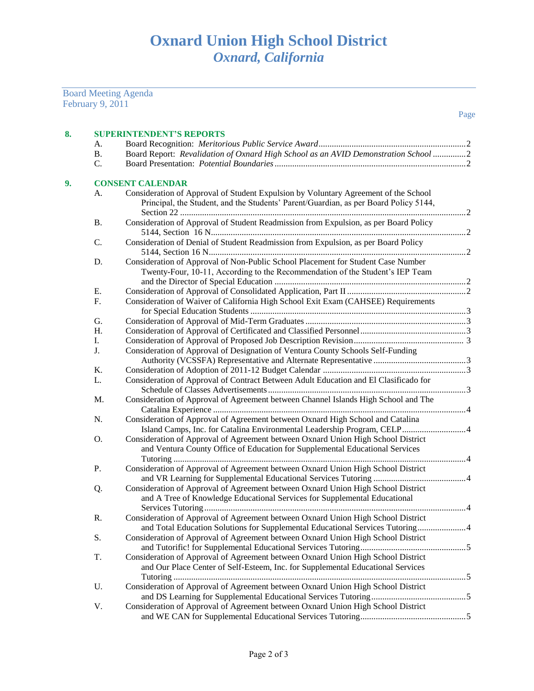Board Meeting Agenda February 9, 2011

| 8. |           | <b>SUPERINTENDENT'S REPORTS</b>                                                                                                                                             |  |  |  |
|----|-----------|-----------------------------------------------------------------------------------------------------------------------------------------------------------------------------|--|--|--|
|    | A.        |                                                                                                                                                                             |  |  |  |
|    | <b>B.</b> | Board Report: Revalidation of Oxnard High School as an AVID Demonstration School 2                                                                                          |  |  |  |
|    | C.        |                                                                                                                                                                             |  |  |  |
| 9. |           | <b>CONSENT CALENDAR</b>                                                                                                                                                     |  |  |  |
|    | А.        | Consideration of Approval of Student Expulsion by Voluntary Agreement of the School<br>Principal, the Student, and the Students' Parent/Guardian, as per Board Policy 5144, |  |  |  |
|    |           |                                                                                                                                                                             |  |  |  |
|    | <b>B.</b> | Consideration of Approval of Student Readmission from Expulsion, as per Board Policy                                                                                        |  |  |  |
|    | C.        | Consideration of Denial of Student Readmission from Expulsion, as per Board Policy                                                                                          |  |  |  |
|    | D.        | Consideration of Approval of Non-Public School Placement for Student Case Number<br>Twenty-Four, 10-11, According to the Recommendation of the Student's IEP Team           |  |  |  |
|    | Ε.        |                                                                                                                                                                             |  |  |  |
|    | F.        | Consideration of Waiver of California High School Exit Exam (CAHSEE) Requirements                                                                                           |  |  |  |
|    | G.        |                                                                                                                                                                             |  |  |  |
|    | H.        |                                                                                                                                                                             |  |  |  |
|    | Ι.        |                                                                                                                                                                             |  |  |  |
|    | J.        | Consideration of Approval of Designation of Ventura County Schools Self-Funding                                                                                             |  |  |  |
|    | Κ.        |                                                                                                                                                                             |  |  |  |
|    | L.        | Consideration of Approval of Contract Between Adult Education and El Clasificado for                                                                                        |  |  |  |
|    | M.        | Consideration of Approval of Agreement between Channel Islands High School and The                                                                                          |  |  |  |
|    | N.        | Consideration of Approval of Agreement between Oxnard High School and Catalina<br>Island Camps, Inc. for Catalina Environmental Leadership Program, CELP 4                  |  |  |  |
|    | O.        | Consideration of Approval of Agreement between Oxnard Union High School District<br>and Ventura County Office of Education for Supplemental Educational Services            |  |  |  |
|    | P.        | Consideration of Approval of Agreement between Oxnard Union High School District                                                                                            |  |  |  |
|    | Q.        | Consideration of Approval of Agreement between Oxnard Union High School District<br>and A Tree of Knowledge Educational Services for Supplemental Educational               |  |  |  |
|    | R.        | Consideration of Approval of Agreement between Oxnard Union High School District<br>and Total Education Solutions for Supplemental Educational Services Tutoring4           |  |  |  |
|    | S.        | Consideration of Approval of Agreement between Oxnard Union High School District                                                                                            |  |  |  |
|    | T.        | Consideration of Approval of Agreement between Oxnard Union High School District<br>and Our Place Center of Self-Esteem, Inc. for Supplemental Educational Services         |  |  |  |
|    | U.        | Consideration of Approval of Agreement between Oxnard Union High School District                                                                                            |  |  |  |
|    | V.        | Consideration of Approval of Agreement between Oxnard Union High School District                                                                                            |  |  |  |